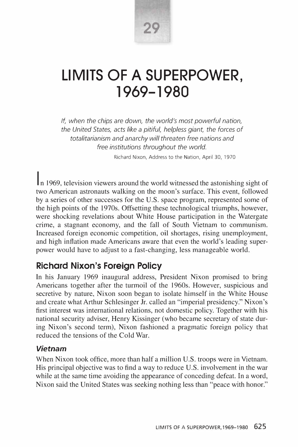

# **LIMITS OF A SUPERPOWER, 1969-1980**

*If, when the chips are down, the world's most powerful nation, the United States, acts like a pitiful, helpless giant, the forces of totalitarianism and anarchy will threaten free nations and free institutions throughout the world.* 

Richard Nixon, Address to the Nation, April 30, 1970

**In** 1969, television viewers around the world witnessed the astonishing sight of two American astronauts walking on the moon's surface. This event, followed by a series of other successes for the U.S. space program, represented some of the high points of the 1970s. Offsetting these technological triumphs, however, were shocking revelations about White House participation in the Watergate crime, a stagnant economy, and the fall of South Vietnam to communism. Increased foreign economic competition, oil shortages, rising unemployment, and high inflation made Americans aware that even the world's leading superpower would have to adjust to a fast-changing, less manageable world.

# **Richard Nixon's Foreign Policy**

In his January 1969 inaugural address, President Nixon promised to bring Americans together after the turmoil of the 1960s. However, suspicious and secretive by nature, Nixon soon began to isolate himself in the White House and create what Arthur Schlesinger Jr. called an "imperial presidency." Nixon's first interest was international relations, not domestic policy. Together with his national security adviser, Henry Kissinger (who became secretary of state during Nixon's second term), Nixon fashioned a pragmatic foreign policy that reduced the tensions of the Cold War.

#### *Vietnam*

When Nixon took office, more than half a million U.S. troops were in Vietnam. His principal objective was to find a way to reduce U.S. involvement in the war while at the same time avoiding the appearance of conceding defeat. In a word, Nixon said the United States was seeking nothing less than "peace with honor."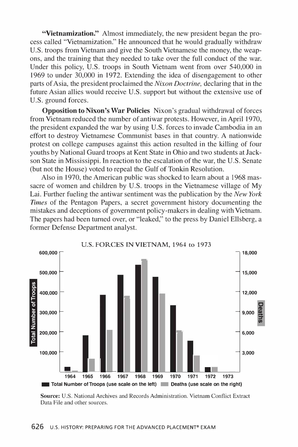**"Vietnamization."** Almost immediately, the new president began the process called "Vietnamization." He announced that he would gradually withdraw U.S. troops from Vietnam and give the South Vietnamese the money, the weapons, and the training that they needed to take over the full conduct of the war. Under this policy, U.S. troops in South Vietnam went from over 540,000 in 1969 to under 30,000 in 1972. Extending the idea of disengagement to other parts of Asia, the president proclaimed the *Nixon Doctrine,* declaring that in the future Asian allies would receive U.S. support but without the extensive use of U.S. ground forces.

**Opposition to Nixon's War Policies** Nixon's gradual withdrawal of forces from Vietnam reduced the number of antiwar protests. However, in April 1970, the president expanded the war by using U.S. forces to invade Cambodia in an effort to destroy Vietnamese Communist bases in that country. A nationwide protest on college campuses against this action resulted in the killing of four youths by National Guard troops at Kent State in Ohio and two students at Jackson State in Mississippi. In reaction to the escalation of the war, the U.S. Senate (but not the House) voted to repeal the Gulf of Tonkin Resolution.

Also in 1970, the American public was shocked to learn about a 1968 massacre of women and children by U.S. troops in the Vietnamese village of My Lai. Further fueling the antiwar sentiment was the publication by the *New York Times* of the Pentagon Papers, a secret government history documenting the mistakes and deceptions of government policy-makers in dealing with Vietnam. The papers had been turned over, or "leaked," to the press by Daniel Ellsberg, a former Defense Department analyst.



**Source:** U.S. National Archives and Records Administration. Vietnam Conflict Extract Data File and other sources.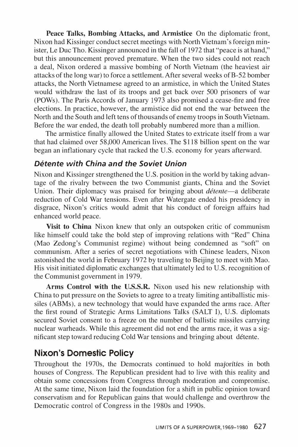**Peace Talks, Bombing Attacks, and Armistice** On the diplomatic front, Nixon had Kissinger conduct secret meetings with North Vietnam's foreign minister, Le Due Tho. Kissinger announced in the fall of 1972 that "peace is at hand," but this announcement proved premature. W hen the two sides could not reach a deal, Nixon ordered a massive bombing of North Vietnam (the heaviest air attacks of the long war) to force a settlement. After several weeks of B-52 bomber attacks, the North Vietnamese agreed to an armistice, in which the United States would withdraw the last of its troops and get back over 500 prisoners of war (POWs). The Paris Accords of January 1973 also promised a cease-fire and free elections. In practice, however, the armistice did not end the war between the North and the South and left tens of thousands of enemy troops in South Vietnam. Before the war ended, the death toll probably numbered more than a million.

The armistice finally allowed the United States to extricate itself from a war that had claimed over 58,000 American lives. The \$118 billion spent on the war began an inflationary cycle that racked the U.S. economy for years afterward.

#### *Detente with China and the Soviet Union*

Nixon and Kissinger strengthened the U.S. position in the world by taking advantage of the rivalry between the two Communist giants, China and the Soviet Union. Their diplomacy was praised for bringing about *détente*—a deliberate reduction of Cold War tensions. Even after Watergate ended his presidency in disgrace, Nixon's critics would admit that his conduct of foreign affairs had enhanced world peace.

**Visit to China** Nixon knew that only an outspoken critic of communism like himself could take the bold step of improving relations with "Red" China (Mao Zedong's Communist regime) without being condemned as "soft" on communism. After a series of secret negotiations with Chinese leaders, Nixon astonished the world in February 1972 by traveling to Beijing to meet with Mao. His visit initiated diplomatic exchanges that ultimately led to U.S. recognition of the Communist government in 1979.

**Arms Control with the U.S.S.R.** Nixon used his new relationship with China to put pressure on the Soviets to agree to a treaty limiting antiballistic missiles (ABMs), a new technology that would have expanded the arms race. After the first round of Strategic Arms Limitations Talks (SALT I), U.S. diplomats secured Soviet consent to a freeze on the number of ballistic missiles carrying nuclear warheads. While this agreement did not end the arms race, it was a significant step toward reducing Cold War tensions and bringing about detente.

# **Nixon's Domestic Policy**

Throughout the 1970s, the Democrats continued to hold majorities in both houses of Congress. The Republican president had to live with this reality and obtain some concessions from Congress through moderation and compromise. At the same time, Nixon laid the foundation for a shift in public opinion toward conservatism and for Republican gains that would challenge and overthrow the Democratic control of Congress in the 1980s and 1990s.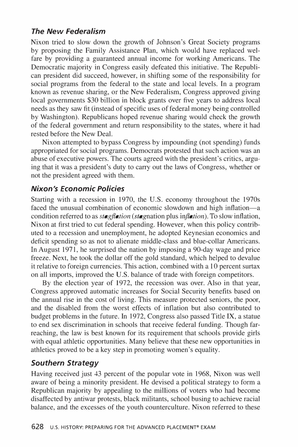#### *The New Federalism*

Nixon tried to slow down the growth of Johnson's Great Society programs by proposing the Family Assistance Plan, which would have replaced welfare by providing a guaranteed annual income for working Americans. The Democratic majority in Congress easily defeated this initiative. The Republican president did succeed, however, in shifting some of the responsibility for social programs from the federal to the state and local levels. In a program known as revenue sharing, or the New Federalism, Congress approved giving local governments \$30 billion in block grants over five years to address local needs as they saw fit (instead of specific uses of federal money being controlled by Washington). Republicans hoped revenue sharing would check the growth of the federal government and return responsibility to the states, where it had rested before the New Deal.

Nixon attempted to bypass Congress by impounding (not spending) funds appropriated for social programs. Democrats protested that such action was an abuse of executive powers. The courts agreed with the president's critics, arguing that it was a president's duty to carry out the laws of Congress, whether or not the president agreed with them.

#### *Nixon's Economic Policies*

Starting with a recession in 1970, the U.S. economy throughout the 1970s faced the unusual combination of economic slowdown and high inflation—a condition referred to as *stagflation* (*stagnation plus inflation*). To slow inflation, Nixon at first tried to cut federal spending. However, when this policy contributed to a recession and unemployment, he adopted Keynesian economics and deficit spending so as not to alienate middle-class and blue-collar Americans. In August 1971, he surprised the nation by imposing a 90-day wage and price freeze. Next, he took the dollar off the gold standard, which helped to devalue it relative to foreign currencies. This action, combined with a 10 percent surtax on all imports, improved the U.S. balance of trade with foreign competitors.

By the election year of 1972, the recession was over. Also in that year, Congress approved automatic increases for Social Security benefits based on the annual rise in the cost of living. This measure protected seniors, the poor, and the disabled from the worst effects of inflation but also contributed to budget problems in the future. In 1972, Congress also passed Title IX, a statue to end sex discrimination in schools that receive federal funding. Though farreaching, the law is best known for its requirement that schools provide girls with equal athletic opportunities. Many believe that these new opportunities in athletics proved to be a key step in promoting women's equality.

#### *Southern Strategy*

Having received just 43 percent of the popular vote in 1968, Nixon was well aware of being a minority president. He devised a political strategy to form a Republican majority by appealing to the millions of voters who had become disaffected by antiwar protests, black militants, school busing to achieve racial balance, and the excesses of the youth counterculture. Nixon referred to these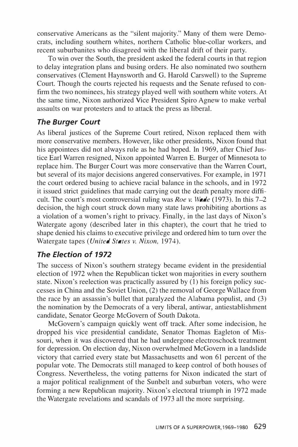conservative Americans as the "silent majority." Many of them were Democrats, including southern whites, northern Catholic blue-collar workers, and recent suburbanites who disagreed with the liberal drift of their party.

To win over the South, the president asked the federal courts in that region to delay integration plans and busing orders. He also nominated two southern conservatives (Clement Haynsworth and G. Harold Carswell) to the Supreme Court. Though the courts rejected his requests and the Senate refused to confirm the two nominees, his strategy played well with southern white voters. At the same time, Nixon authorized Vice President Spiro Agnew to make verbal assaults on war protesters and to attack the press as liberal.

#### *The Burger Court*

As liberal justices of the Supreme Court retired, Nixon replaced them with more conservative members. However, like other presidents, Nixon found that his appointees did not always rule as he had hoped. In 1969, after Chief Justice Earl Warren resigned, Nixon appointed Warren E. Burger of Minnesota to replace him. The Burger Court was more conservative than the Warren Court, but several of its major decisions angered conservatives. For example, in 1971 the court ordered busing to achieve racial balance in the schools, and in 1972 it issued strict guidelines that made carrying out the death penalty more difficult. The court's most controversial ruling was *Roe v. Wade* (1973). In this 7–2 decision, the high court struck down many state laws prohibiting abortions as a violation of a women's right to privacy. Finally, in the last days of Nixon's Watergate agony (described later in this chapter), the court that he tried to shape denied his claims to executive privilege and ordered him to turn over the Watergate tapes *(United States v. Nixon,* 1974).

#### *The Election of 1972*

The success of Nixon's southern strategy became evident in the presidential election of 1972 when the Republican ticket won majorities in every southern state. Nixon's reelection was practically assured by (1) his foreign policy successes in China and the Soviet Union, (2) the removal of George Wallace from the race by an assassin's bullet that paralyzed the Alabama populist, and (3) the nomination by the Democrats of a very liberal, antiwar, antiestablishment candidate, Senator George McGovern of South Dakota.

McGovern's campaign quickly went off track. After some indecision, he dropped his vice presidential candidate, Senator Thomas Eagleton of Missouri, when it was discovered that he had undergone electroschock treatment for depression. On election day, Nixon overwhelmed McGovern in a landslide victory that carried every state but Massachusetts and won 61 percent of the popular vote. The Democrats still managed to keep control of both houses of Congress. Nevertheless, the voting patterns for Nixon indicated the start of a major political realignment of the Sunbelt and suburban voters, who were forming a new Republican majority. Nixon's electoral triumph in 1972 made the Watergate revelations and scandals of 1973 all the more surprising.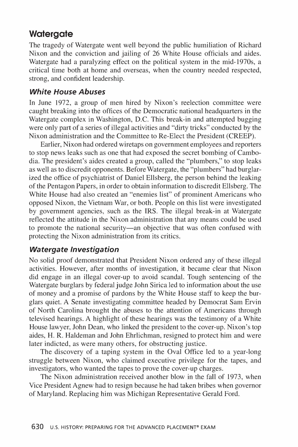# **Watergate**

The tragedy of Watergate went well beyond the public humiliation of Richard Nixon and the conviction and jailing of 26 White House officials and aides. Watergate had a paralyzing effect on the political system in the mid-1970s, a critical time both at home and overseas, when the country needed respected, strong, and confident leadership.

#### *White House Abuses*

In June 1972, a group of men hired by Nixon's reelection committee were caught breaking into the offices of the Democratic national headquarters in the Watergate complex in Washington, D.C. This break-in and attempted bugging were only part of a series of illegal activities and "dirty tricks" conducted by the Nixon administration and the Committee to Re-Elect the President (CREEP).

Earlier, Nixon had ordered wiretaps on government employees and reporters to stop news leaks such as one that had exposed the secret bombing of Cambodia. The president's aides created a group, called the "plumbers," to stop leaks as well as to discredit opponents. Before Watergate, the "plumbers" had burglarized the office of psychiatrist of Daniel Ellsberg, the person behind the leaking of the Pentagon Papers, in order to obtain information to discredit Ells berg. The White House had also created an "enemies list" of prominent Americans who opposed Nixon, the Vietnam War, or both. People on this list were investigated by government agencies, such as the IRS. The illegal break-in at Watergate reflected the attitude in the Nixon administration that any means could be used to promote the national security—an objective that was often confused with protecting the Nixon administration from its critics.

#### *Watergate Investigation*

No solid proof demonstrated that President Nixon ordered any of these illegal activities. However, after months of investigation, it became clear that Nixon did engage in an illegal cover-up to avoid scandal. Tough sentencing of the Watergate burglars by federal judge John Sirica led to information about the use of money and a promise of pardons by the White House staff to keep the burglars quiet. A Senate investigating committee headed by Democrat Sam Ervin of North Carolina brought the abuses to the attention of Americans through televised hearings. A highlight of these hearings was the testimony of a White House lawyer, John Dean, who linked the president to the cover-up. Nixon's top aides, H. R. Haldeman and John Ehrlichman, resigned to protect him and were later indicted, as were many others, for obstructing justice.

The discovery of a taping system in the Oval Office led to a year-long struggle between Nixon, who claimed executive privilege for the tapes, and investigators, who wanted the tapes to prove the cover-up charges.

The Nixon administration received another blow in the fall of 1973, when Vice President Agnew had to resign because he had taken bribes when governor of Maryland. Replacing him was Michigan Representative Gerald Ford.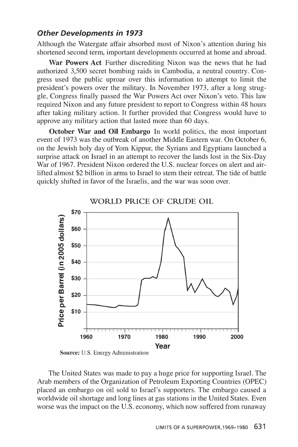#### *Other Developments in 1973*

Although the Watergate affair absorbed most of Nixon's attention during his shortened second term, important developments occurred at home and abroad.

**War Powers Act** Further discrediting Nixon was the news that he had authorized 3,500 secret bombing raids in Cambodia, a neutral country. Congress used the public uproar over this information to attempt to limit the president's powers over the military. In November 1973, after a long struggle, Congress finally passed the War Powers Act over Nixon's veto. This law required Nixon and any future president to report to Congress within 48 hours after taking military action. It further provided that Congress would have to approve any military action that lasted more than 60 days.

**October War and Oil Embargo** In world politics, the most important event of 1973 was the outbreak of another Middle Eastern war. On October 6, on the Jewish holy day of Yorn Kippur, the Syrians and Egyptians launched a surprise attack on Israel in an attempt to recover the lands lost in the Six-Day War of 1967. President Nixon ordered the U.S. nuclear forces on alert and airlifted almost \$2 billion in arms to Israel to stem their retreat. The tide of battle quickly shifted in favor of the Israelis, and the war was soon over.



**WORLD PRICE OF CRUDE OIL** 

**Source:** U.S. Energy Administration

The United States was made to pay a huge price for supporting Israel. The Arab members of the Organization of Petroleum Exporting Countries (OPEC) placed an embargo on oil sold to Israel's supporters. The embargo caused a worldwide oil shortage and long lines at gas stations in the United States. Even worse was the impact on the U.S. economy, which now suffered from runaway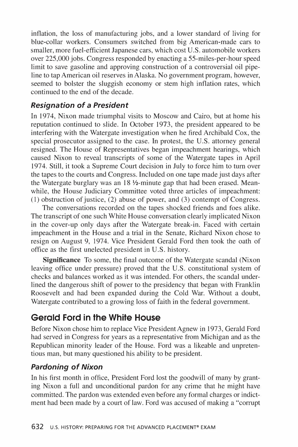inflation, the loss of manufacturing jobs, and a lower standard of living for blue-collar workers. Consumers switched from big American-made cars to smaller, more fuel-efficient Japanese cars, which cost U.S. automobile workers over 225,000 jobs. Congress responded by enacting a 55-miles-per-hour speed limit to save gasoline and approving construction of a controversial oil pipeline to tap American oil reserves in Alaska. No government program, however, seemed to bolster the sluggish economy or stem high inflation rates, which continued to the end of the decade.

#### *Resignation of* **a** *President*

In 1974, Nixon made triumphal visits to Moscow and Cairo, but at home his reputation continued to slide. In October 1973, the president appeared to be interfering with the Watergate investigation when he fired Archibald Cox, the special prosecutor assigned to the case. In protest, the U.S. attorney general resigned. The House of Representatives began impeachment hearings, which caused Nixon to reveal transcripts of some of the Watergate tapes in April 1974. Still, it took a Supreme Court decision in July to force him to turn over the tapes to the courts and Congress. Included on one tape made just days after the Watergate burglary was an 18 ½-minute gap that had been erased. Meanwhile, the House Judiciary Committee voted three articles of impeachment: (1) obstruction of justice, (2) abuse of power, and (3) contempt of Congress.

The conversations recorded on the tapes shocked friends and foes alike. The transcript of one such White House conversation clearly implicated Nixon in the cover-up only days after the Watergate break-in. Faced with certain impeachment in the House and a trial in the Senate, Richard Nixon chose to resign on August 9, 1974. Vice President Gerald Ford then took the oath of office as the first unelected president in U.S. history.

**Significance** To some, the final outcome of the Watergate scandal (Nixon leaving office under pressure) proved that the U.S. constitutional system of checks and balances worked as it was intended. For others, the scandal underlined the dangerous shift of power to the presidency that began with Franklin Roosevelt and had been expanded during the Cold War. Without a doubt, Watergate contributed to a growing loss of faith in the federal government.

# **Gerald Ford in the White House**

Before Nixon chose him to replace Vice President Agnew in 1973, Gerald Ford had served in Congress for years as a representative from Michigan and as the Republican minority leader of the House. Ford was a likeable and unpretentious man, but many questioned his ability to be president.

#### *Pardoning of Nixon*

In his first month in office, President Ford lost the goodwill of many by granting Nixon a full and unconditional pardon for any crime that he might have committed. The pardon was extended even before any formal charges or indictment had been made by a court of law. Ford was accused of making a "corrupt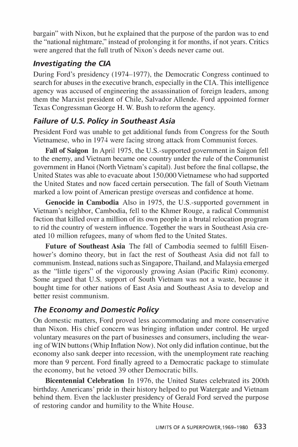bargain" with Nixon, but he explained that the purpose of the pardon was to end the "national nightmare," instead of prolonging it for months, if not years. Critics were angered that the full truth of Nixon's deeds never came out.

#### *Investigating the CIA*

During Ford's presidency (1974-1977), the Democratic Congress continued to search for abuses in the executive branch, especially in the CIA. This intelligence agency was accused of engineering the assassination of foreign leaders, among them the Marxist president of Chile, Salvador Allende. Ford appointed former Texas Congressman George H. W. Bush to reform the agency.

# *Failure of U.S. Policy in Southeast Asia*

President Ford was unable to get additional funds from Congress for the South Vietnamese, who in 1974 were facing strong attack from Communist forces.

**Fall of Saigon** In April 1975, the U.S.-supported government in Saigon fell to the enemy, and Vietnam became one country under the rule of the Communist government in Hanoi (North Vietnam's capital). Just before the final collapse, the United States was able to evacuate about 150,000 Vietnamese who had supported the United States and now faced certain persecution. The fall of South Vietnam marked a low point of American prestige overseas and confidence at home.

**Genocide in Cambodia** Also in 1975, the U.S.-supported government in Vietnam's neighbor, Cambodia, fell to the Khmer Rouge, a radical Communist faction that killed over a million of its own people in a brutal relocation program to rid the country of western influence. Together the wars in Southeast Asia created 10 million refugees, many of whom fled to the United States.

**Future of Southeast Asia** The fall of Cambodia seemed to fulfill Eisenhower's domino theory, but in fact the rest of Southeast Asia did not fall to communism. Instead, nations such as Singapore, Thailand, and Malaysia emerged as the "little tigers" of the vigorously growing Asian (Pacific Rim) economy. Some argued that U.S. support of South Vietnam was not a waste, because it bought time for other nations of East Asia and Southeast Asia to develop and better resist communism.

# *The Economy and Domestic Policy*

On domestic matters, Ford proved less accommodating and more conservative than Nixon. His chief concern was bringing inflation under control. He urged voluntary measures on the part of businesses and consumers, including the wearing of WIN buttons (Whip Inflation Now). Not only did inflation continue, but the economy also sank deeper into recession, with the unemployment rate reaching more than 9 percent. Ford finally agreed to a Democratic package to stimulate the economy, but he vetoed 39 other Democratic bills.

**Bicentennial Celebration** In 1976, the United States celebrated its 200th birthday. Americans' pride in their history helped to put Watergate and Vietnam behind them. Even the lackluster presidency of Gerald Ford served the purpose of restoring candor and humility to the White House.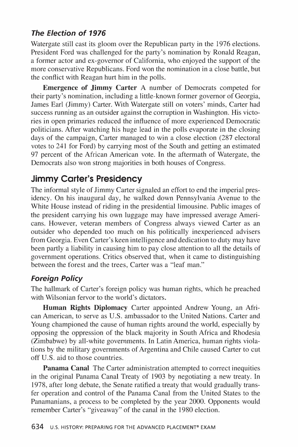#### *The Election of 1976*

Watergate still cast its gloom over the Republican party in the 1976 elections. President Ford was challenged for the party's nomination by Ronald Reagan, a former actor and ex-governor of California, who enjoyed the support of the more conservative Republicans. Ford won the nomination in a close battle, but the conflict with Reagan hurt him in the polls.

**Emergence of Jimmy Carter** A number of Democrats competed for their party's nomination, including a little-known former governor of Georgia, James Earl (Jimmy) Carter. With Watergate still on voters' minds, Carter had success running as an outsider against the corruption in Washington. His victories in open primaries reduced the influence of more experienced Democratic politicians. After watching his huge lead in the polls evaporate in the closing days of the campaign, Carter managed to win a close election (287 electoral votes to 241 for Ford) by carrying most of the South and getting an estimated 97 percent of the African American vote. In the aftermath of Watergate, the Democrats also won strong majorities in both houses of Congress.

# **Jimmy Carter's Presidency**

The informal style of Jimmy Carter signaled an effort to end the imperial presidency. On his inaugural day, he walked down Pennsylvania Avenue to the White House instead of riding in the presidential limousine. Public images of the president carrying his own luggage may have impressed average Americans. However, veteran members of Congress always viewed Carter as an outsider who depended too much on his politically inexperienced advisers from Georgia. Even Carter's keen intelligence and dedication to duty may have been partly a liability in causing him to pay close attention to all the details of government operations. Critics observed that, when it came to distinguishing between the forest and the trees, Carter was a "leaf man."

# *Foreign Policy*

The hallmark of Carter's foreign policy was human rights, which he preached with Wilsonian fervor to the world's dictators.

**Human Rights Diplomacy** Carter appointed Andrew Young, an African American, to serve as U.S. ambassador to the United Nations. Carter and Young championed the cause of human rights around the world, especially by opposing the oppression of the black majority in South Africa and Rhodesia (Zimbabwe) by all-white governments. In Latin America, human rights violations by the military governments of Argentina and Chile caused Carter to cut off U.S. aid to those countries.

**Panama Canal** The Carter administration attempted to correct inequities in the original Panama Canal Treaty of 1903 by negotiating a new treaty. In 1978, after long debate, the Senate ratified a treaty that would gradually transfer operation and control of the Panama Canal from the United States to the Panamanians, a process to be completed by the year 2000. Opponents would remember Carter's "giveaway" of the canal in the 1980 election.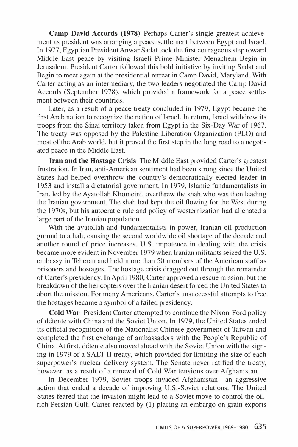**Camp David Accords (1978)** Perhaps Carter's single greatest achievement as president was arranging a peace settlement between Egypt and Israel. In 1977, Egyptian President Anwar Sadat took the first courageous step toward Middle East peace by visiting Israeli Prime Minister Menachem Begin in Jerusalem. President Carter followed this bold initiative by inviting Sadat and Begin to meet again at the presidential retreat in Camp David, Maryland. With Carter acting as an intermediary, the two leaders negotiated the Camp David Accords (September 1978), which provided a framework for a peace settlement between their countries.

Later, as a result of a peace treaty concluded in 1979, Egypt became the first Arab nation to recognize the nation of Israel. In return, Israel withdrew its troops from the Sinai territory taken from Egypt in the Six-Day War of 1967. The treaty was opposed by the Palestine Liberation Organization (PLO) and most of the Arab world, but it proved the first step in the long road to a negotiated peace in the Middle East.

**Iran and the Hostage Crisis** The Middle East provided Carter's greatest frustration. In Iran, anti-American sentiment had been strong since the United States had helped overthrow the country's democratically elected leader in 1953 and install a dictatorial government. In 1979, Islamic fundamentalists in Iran, led by the Ayatollah Khomeini, overthrew the shah who was then leading the Iranian government. The shah had kept the oil flowing for the West during the 1970s, but his autocratic rule and policy of westernization had alienated a large part of the Iranian population.

With the ayatollah and fundamentalists in power, Iranian oil production ground to a halt, causing the second worldwide oil shortage of the decade and another round of price increases. U.S. impotence in dealing with the crisis became more evident in November 1979 when Iranian militants seized the U.S. embassy in Teheran and held more than 50 members of the American staff as prisoners and hostages. The hostage crisis dragged out through the remainder of Carter's presidency. In April 1980, Carter approved a rescue mission, but the breakdown of the helicopters over the Iranian desert forced the United States to abort the mission. For many Americans, Carter's unsuccessful attempts to free the hostages became a symbol of a failed presidency.

**Cold War** President Carter attempted to continue the Nixon-Ford policy of detente with China and the Soviet Union. In 1979, the United States ended its official recognition of the Nationalist Chinese government of Taiwan and completed the first exchange of ambassadors with the People's Republic of China. At first, detente also moved ahead with the Soviet Union with the signing in 1979 of a SALT II treaty, which provided for limiting the size of each superpower's nuclear delivery system. The Senate never ratified the treaty, however, as a result of a renewal of Cold War tensions over Afghanistan.

In December 1979, Soviet troops invaded Afghanistan—an aggressive action that ended a decade of improving U.S.-Soviet relations. The United States feared that the invasion might lead to a Soviet move to control the oilrich Persian Gulf. Carter reacted by (1) placing an embargo on grain exports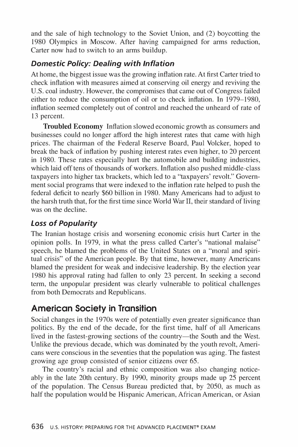and the sale of high technology to the Soviet Union, and (2) boycotting the 1980 Olympics in Moscow. After having campaigned for arms reduction, Carter now had to switch to an arms buildup.

#### *Domestic Policy: Dealing with Inflation*

At home, the biggest issue was the growing inflation rate. At first Carter tried to check inflation with measures aimed at conserving oil energy and reviving the U.S. coal industry. However, the compromises that came out of Congress failed either to reduce the consumption of oil or to check inflation. In 1979-1980, inflation seemed completely out of control and reached the unheard of rate of 13 percent.

**Troubled Economy** Inflation slowed economic growth as consumers and businesses could no longer afford the high interest rates that came with high prices. The chairman of the Federal Reserve Board, Paul Volcker, hoped to break the back of inflation by pushing interest rates even higher, to 20 percent in 1980. These rates especially hurt the automobile and building industries, which laid off tens of thousands of workers. Inflation also pushed middle-class taxpayers into higher tax brackets, which led to a "taxpayers' revolt." Government social programs that were indexed to the inflation rate helped to push the federal deficit to nearly \$60 billion in 1980. Many Americans had to adjust to the harsh truth that, for the first time since World War II, their standard of living was on the decline.

#### *loss of Popularity*

The Iranian hostage crisis and worsening economic crisis hurt Carter in the opinion polls. In 1979, in what the press called Carter's "national malaise" speech, he blamed the problems of the United States on a "moral and spiritual crisis" of the American people. By that time, however, many Americans blamed the president for weak and indecisive leadership. By the election year 1980 his approval rating had fallen to only 23 percent. In seeking a second term, the unpopular president was clearly vulnerable to political challenges from both Democrats and Republicans.

# **American Society in Transition**

Social changes in the 1970s were of potentially even greater significance than politics. By the end of the decade, for the first time, half of all Americans lived in the fastest-growing sections of the country—the South and the West. Unlike the previous decade, which was dominated by the youth revolt, Americans were conscious in the seventies that the population was aging. The fastest growing age group consisted of senior citizens over 65.

The country's racial and ethnic composition was also changing noticeably in the late 20th century. By 1990, minority groups made up 25 percent of the population. The Census Bureau predicted that, by 2050, as much as half the population would be Hispanic American, African American, or Asian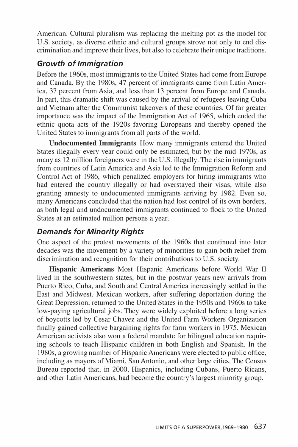American. Cultural pluralism was replacing the melting pot as the model for U.S. society, as diverse ethnic and cultural groups strove not only to end discrimination and improve their lives, but also to celebrate their unique traditions.

#### *Growth of Immigration*

Before the 1960s, most immigrants to the United States had come from Europe and Canada. By the 1980s, 47 percent of immigrants came from Latin America, 37 percent from Asia, and less than 13 percent from Europe and Canada. In part, this dramatic shift was caused by the arrival of refugees leaving Cuba and Vietnam after the Communist takeovers of these countries. Of far greater importance was the impact of the Immigration Act of 1965, which ended the ethnic quota acts of the 1920s favoring Europeans and thereby opened the United States to immigrants from all parts of the world.

**Undocumented Immigrants** How many immigrants entered the United States illegally every year could only be estimated, but by the mid-1970s, as many as 12 million foreigners were in the U.S. illegally. The rise in immigrants from countries of Latin America and Asia led to the Immigration Reform and Control Act of 1986, which penalized employers for hiring immigrants who had entered the country illegally or had overstayed their visas, while also granting amnesty to undocumented immigrants arriving by 1982. Even so, many Americans concluded that the nation had lost control of its own borders, as both legal and undocumented immigrants continued to flock to the United States at an estimated million persons a year.

#### *Demands for Minority Rights*

One aspect of the protest movements of the 1960s that continued into later decades was the movement by a variety of minorities to gain both relief from discrimination and recognition for their contributions to U.S. society.

**Hispanic Americans** Most Hispanic Americans before World War II lived in the southwestern states, but in the postwar years new arrivals from Puerto Rico, Cuba, and South and Central America increasingly settled in the East and Midwest. Mexican workers, after suffering deportation during the Great Depression, returned to the United States in the 1950s and 1960s to take low-paying agricultural jobs. They were widely exploited before a long series of boycotts led by Cesar Chavez and the United Farm Workers Organization finally gained collective bargaining rights for farm workers in 1975. Mexican American activists also won a federal mandate for bilingual education requiring schools to teach Hispanic children in both English and Spanish. In the 1980s, a growing number of Hispanic Americans were elected to public office, including as mayors of Miami, San Antonio, and other large cities. The Census Bureau reported that, in 2000, Hispanics, including Cubans, Puerto Ricans, and other Latin Americans, had become the country's largest minority group.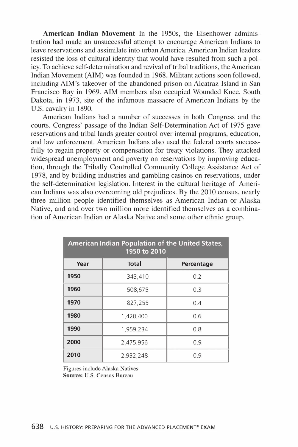**American Indian Movement** In the 1950s, the Eisenhower administration had made an unsuccessful attempt to encourage American Indians to leave reservations and assimilate into urban America. American Indian leaders resisted the loss of cultural identity that would have resulted from such a policy. To achieve self-determination and revival of tribal traditions, the American Indian Movement (AIM) was founded in 1968. Militant actions soon followed, including AIM's takeover of the abandoned prison on Alcatraz Island in San Francisco Bay in 1969. AIM members also occupied Wounded Knee, South Dakota, in 1973, site of the infamous massacre of American Indians by the U.S. cavalry in 1890.

American Indians had a number of successes in both Congress and the courts. Congress' passage of the Indian Self-Determination Act of 1975 gave reservations and tribal lands greater control over internal programs, education, and law enforcement. American Indians also used the federal courts successfully to regain property or compensation for treaty violations. They attacked widespread unemployment and poverty on reservations by improving education, through the Tribally Controlled Community College Assistance Act of 1978, and by building industries and gambling casinos on reservations, under the self-determination legislation. Interest in the cultural heritage of American Indians was also overcoming old prejudices. By the 2010 census, nearly three million people identified themselves as American Indian or Alaska Native, and and over two million more identified themselves as a combination of American Indian or Alaska Native and some other ethnic group.

| <b>American Indian Population of the United States,</b><br>1950 to 2010 |              |            |
|-------------------------------------------------------------------------|--------------|------------|
| Year                                                                    | <b>Total</b> | Percentage |
| 1950                                                                    | 343,410      | 0.2        |
| 1960                                                                    | 508,675      | 0.3        |
| 1970                                                                    | 827,255      | 0.4        |
| 1980                                                                    | 1,420,400    | 0.6        |
| 1990                                                                    | 1,959,234    | 0.8        |
| 2000                                                                    | 2,475,956    | 0.9        |
| 2010                                                                    | 2,932,248    | 0.9        |

Figures include Alaska Natives **Source:** U.S. Census Bureau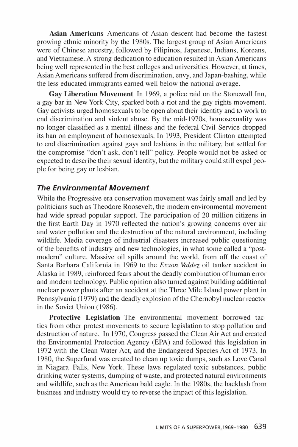**Asian Americans** Americans of Asian descent had become the fastest growing ethnic minority by the 1980s. The largest group of Asian Americans were of Chinese ancestry, followed by Filipinos, Japanese, Indians, Koreans, and Vietnamese. A strong dedication to education resulted in Asian Americans being well represented in the best colleges and universities. However, at times, Asian Americans suffered from discrimination, envy, and Japan-bashing, while the less educated immigrants earned well below the national average.

**Gay Liberation Movement** In 1969, a police raid on the Stonewall Inn, a gay bar in New York City, sparked both a riot and the gay rights movement. Gay activists urged homosexuals to be open about their identity and to work to end discrimination and violent abuse. By the mid-1970s, homosexuality was no longer classified as a mental illness and the federal Civil Service dropped its ban on employment of homosexuals. In 1993, President Clinton attempted to end discrimination against gays and lesbians in the military, but settled for the compromise "don't ask, don't tell" policy. People would not be asked or expected to describe their sexual identity, but the military could still expel people for being gay or lesbian.

#### *The Environmental Movement*

While the Progressive era conservation movement was fairly small and led by politicians such as Theodore Roosevelt, the modern environmental movement had wide spread popular support. The participation of 20 million citizens in the first Earth Day in 1970 reflected the nation's growing concerns over air and water pollution and the destruction of the natural environment, including wildlife. Media coverage of industrial disasters increased public questioning of the benefits of industry and new technologies, in what some called a "postmodern" culture. Massive oil spills around the world, from off the coast of Santa Barbara California in 1969 to the *Exxon Valdez* oil tanker accident in Alaska in 1989, reinforced fears about the deadly combination of human error and modern technology. Public opinion also turned against building additional nuclear power plants after an accident at the Three Mile Island power plant in Pennsylvania (1979) and the deadly explosion of the Chernobyl nuclear reactor in the Soviet Union (1986).

**Protective Legislation** The environmental movement borrowed tactics from other protest movements to secure legislation to stop pollution and destruction of nature. In 1970, Congress passed the Clean Air Act and created the Environmental Protection Agency (EPA) and followed this legislation in 1972 with the Clean Water Act, and the Endangered Species Act of 1973. In 1980, the Superfund was created to clean up toxic dumps, such as Love Canal in Niagara Falls, New York. These laws regulated toxic substances, public drinking water systems, dumping of waste, and protected natural environments and wildlife, such as the American bald eagle. In the 1980s, the backlash from business and industry would try to reverse the impact of this legislation.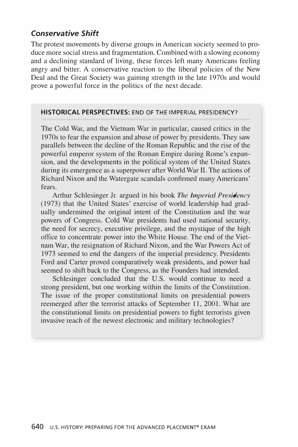#### *Conservative Shift*

The protest movements by diverse groups in American society seemed to produce more social stress and fragmentation. Combined with a slowing economy and a declining standard of living, these forces left many Americans feeling angry and bitter. A conservative reaction to the liberal policies of the New Deal and the Great Society was gaining strength in the late 1970s and would prove a powerful force in the politics of the next decade.

#### **HISTORICAL PERSPECTIVES:** END OF THE IMPERIAL PRESIDENCY?

The Cold War, and the Vietnam War in particular, caused critics in the 1970s to fear the expansion and abuse of power by presidents. They saw parallels between the decline of the Roman Republic and the rise of the powerful emperor system of the Roman Empire during Rome's expansion, and the developments in the political system of the United States during its emergence as a superpower after World War II. The actions of Richard Nixon and the Watergate scandals confirmed many Americans' fears.

Arthur Schlesinger Jr. argued in his book *The Imperial Presidency*  (1973) that the United States' exercise of world leadership had gradually undermined the original intent of the Constitution and the war powers of Congress. Cold War presidents had used national security, the need for secrecy, executive privilege, and the mystique of the high office to concentrate power into the White House. The end of the Vietnam War, the resignation of Richard Nixon, and the War Powers Act of 1973 seemed to end the dangers of the imperial presidency. Presidents Ford and Carter proved comparatively weak presidents, and power had seemed to shift back to the Congress, as the Founders had intended.

Schlesinger concluded that the U.S. would continue to need a strong president, but one working within the limits of the Constitution. The issue of the proper constitutional limits on presidential powers reemerged after the terrorist attacks of September 11, 2001. What are the constitutional limits on presidential powers to fight terrorists given invasive reach of the newest electronic and military technologies?